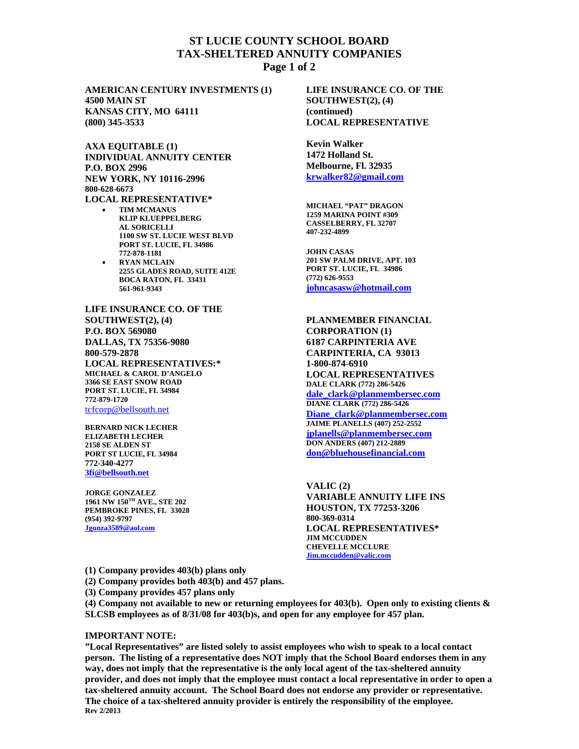## **ST LUCIE COUNTY SCHOOL BOARD TAX-SHELTERED ANNUITY COMPANIES Page 1 of 2**

**AMERICAN CENTURY INVESTMENTS (1) 4500 MAIN ST KANSAS CITY, MO 64111 (800) 345-3533**

**AXA EQUITABLE (1) INDIVIDUAL ANNUITY CENTER P.O. BOX 2996 NEW YORK, NY 10116-2996 800-628-6673 LOCAL REPRESENTATIVE\*** 

- **TIM MCMANUS KLIP KLUEPPELBERG AL SORICELLI 1100 SW ST. LUCIE WEST BLVD PORT ST. LUCIE, FL 34986 772-878-1181**
- **RYAN MCLAIN 2255 GLADES ROAD, SUITE 412E BOCA RATON, FL 33431 561-961-9343**

**LIFE INSURANCE CO. OF THE SOUTHWEST(2), (4) P.O. BOX 569080 DALLAS, TX 75356-9080 800-579-2878 LOCAL REPRESENTATIVES:\* MICHAEL & CAROL D'ANGELO 3366 SE EAST SNOW ROAD PORT ST. LUCIE, FL 34984 772-879-1720**  tcfcorp@bellsouth.net

**BERNARD NICK LECHER ELIZABETH LECHER 2158 SE ALDEN ST PORT ST LUCIE, FL 34984 772-340-4277 3fi@bellsouth.net** 

**JORGE GONZALEZ 1961 NW 150TH AVE., STE 202 PEMBROKE PINES, FL 33028 (954) 392-9797 Jgonza3589@aol.com**

**LIFE INSURANCE CO. OF THE SOUTHWEST(2), (4) (continued) LOCAL REPRESENTATIVE** 

**Kevin Walker 1472 Holland St. Melbourne, Fl. 32935 krwalker82@gmail.com**

**MICHAEL "PAT" DRAGON 1259 MARINA POINT #309 CASSELBERRY, FL 32707 407-232-4899** 

**JOHN CASAS 201 SW PALM DRIVE, APT. 103 PORT ST. LUCIE, FL 34986 (772) 626-9553 johncasasw@hotmail.com**

**PLANMEMBER FINANCIAL CORPORATION (1) 6187 CARPINTERIA AVE CARPINTERIA, CA 93013 1-800-874-6910 LOCAL REPRESENTATIVES DALE CLARK (772) 286-5426 dale\_clark@planmembersec.com DIANE CLARK (772) 286-5426 Diane\_clark@planmembersec.com JAIME PLANELLS (407) 252-2552 jplanells@planmembersec.com DON ANDERS (407) 212-2889 don@bluehousefinancial.com**

**VALIC (2) VARIABLE ANNUITY LIFE INS HOUSTON, TX 77253-3206 800-369-0314 LOCAL REPRESENTATIVES\* JIM MCCUDDEN CHEVELLE MCCLURE Jim.mccudden@valic.com** 

**(1) Company provides 403(b) plans only** 

**(2) Company provides both 403(b) and 457 plans.** 

**(3) Company provides 457 plans only** 

**(4) Company not available to new or returning employees for 403(b). Open only to existing clients & SLCSB employees as of 8/31/08 for 403(b)s, and open for any employee for 457 plan.** 

## **IMPORTANT NOTE:**

**"Local Representatives" are listed solely to assist employees who wish to speak to a local contact person. The listing of a representative does NOT imply that the School Board endorses them in any way, does not imply that the representative is the only local agent of the tax-sheltered annuity provider, and does not imply that the employee must contact a local representative in order to open a tax-sheltered annuity account. The School Board does not endorse any provider or representative. The choice of a tax-sheltered annuity provider is entirely the responsibility of the employee. Rev 2/2013**